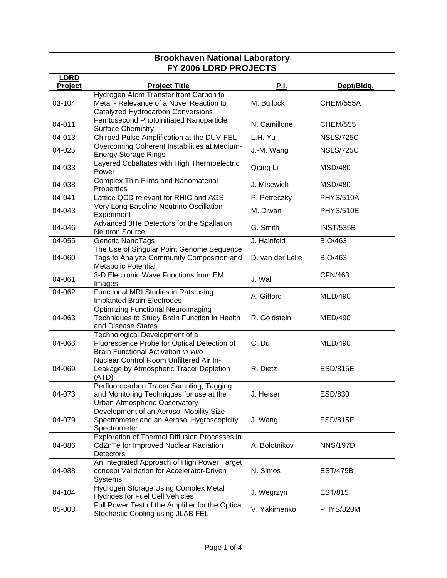| <b>Brookhaven National Laboratory</b><br>FY 2006 LDRD PROJECTS |                                                                                                                        |                  |                  |  |
|----------------------------------------------------------------|------------------------------------------------------------------------------------------------------------------------|------------------|------------------|--|
| <b>LDRD</b>                                                    |                                                                                                                        |                  |                  |  |
| Project                                                        | <b>Project Title</b>                                                                                                   | <b>P.I.</b>      | Dept/Bldg.       |  |
| 03-104                                                         | Hydrogen Atom Transfer from Carbon to<br>Metal - Relevance of a Novel Reaction to<br>Catalyzed Hydrocarbon Conversions | M. Bullock       | CHEM/555A        |  |
| 04-011                                                         | Femtosecond Photoinitiated Nanoparticle<br><b>Surface Chemistry</b>                                                    | N. Camillone     | <b>CHEM/555</b>  |  |
| 04-013                                                         | Chirped Pulse Amplification at the DUV-FEL                                                                             | L.H. Yu          | <b>NSLS/725C</b> |  |
| 04-025                                                         | Overcoming Coherent Instabilities at Medium-<br><b>Energy Storage Rings</b>                                            | J.-M. Wang       | <b>NSLS/725C</b> |  |
| 04-033                                                         | Layered Cobaltates with High Thermoelectric<br>Power                                                                   | Qiang Li         | <b>MSD/480</b>   |  |
| 04-038                                                         | <b>Complex Thin Films and Nanomaterial</b><br>Properties                                                               | J. Misewich      | <b>MSD/480</b>   |  |
| 04-041                                                         | Lattice QCD relevant for RHIC and AGS                                                                                  | P. Petreczky     | <b>PHYS/510A</b> |  |
| 04-043                                                         | Very Long Baseline Neutrino Oscillation<br>Experiment                                                                  | M. Diwan         | PHYS/510E        |  |
| 04-046                                                         | Advanced 3He Detectors for the Spallation<br><b>Neutron Source</b>                                                     | G. Smith         | <b>INST/535B</b> |  |
| 04-055                                                         | Genetic NanoTags                                                                                                       | J. Hainfeld      | <b>BIO/463</b>   |  |
| 04-060                                                         | The Use of Singular Point Genome Sequence<br>Tags to Analyze Community Composition and<br><b>Metabolic Potential</b>   | D. van der Lelie | <b>BIO/463</b>   |  |
| 04-061                                                         | 3-D Electronic Wave Functions from EM<br>Images                                                                        | J. Wall          | <b>CFN/463</b>   |  |
| 04-062                                                         | Functional MRI Studies in Rats using<br><b>Implanted Brain Electrodes</b>                                              | A. Gifford       | <b>MED/490</b>   |  |
| 04-063                                                         | <b>Optimizing Functional Neuroimaging</b><br>Techniques to Study Brain Function in Health<br>and Disease States        | R. Goldstein     | <b>MED/490</b>   |  |
| 04-066                                                         | Technological Development of a<br>Fluorescence Probe for Optical Detection of<br>Brain Functional Activation in vivo   | C. Du            | <b>MED/490</b>   |  |
| 04-069                                                         | Nuclear Control Room Unfiltered Air In-<br>Leakage by Atmospheric Tracer Depletion<br>(ATD)                            | R. Dietz         | <b>ESD/815E</b>  |  |
| 04-073                                                         | Perfluorocarbon Tracer Sampling, Tagging<br>and Monitoring Techniques for use at the<br>Urban Atmospheric Observatory  | J. Heiser        | ESD/830          |  |
| 04-079                                                         | Development of an Aerosol Mobility Size<br>Spectrometer and an Aerosol Hygroscopicity<br>Spectrometer                  | J. Wang          | <b>ESD/815E</b>  |  |
| 04-086                                                         | Exploration of Thermal Diffusion Processes in<br>CdZnTe for Improved Nuclear Radiation<br>Detectors                    | A. Bolotnikov    | <b>NNS/197D</b>  |  |
| 04-088                                                         | An Integrated Approach of High Power Target<br>concept Validation for Accelerator-Driven<br>Systems                    | N. Simos         | <b>EST/475B</b>  |  |
| 04-104                                                         | Hydrogen Storage Using Complex Metal<br><b>Hydrides for Fuel Cell Vehicles</b>                                         | J. Wegrzyn       | <b>EST/815</b>   |  |
| 05-003                                                         | Full Power Test of the Amplifier for the Optical<br>Stochastic Cooling using JLAB FEL                                  | V. Yakimenko     | <b>PHYS/820M</b> |  |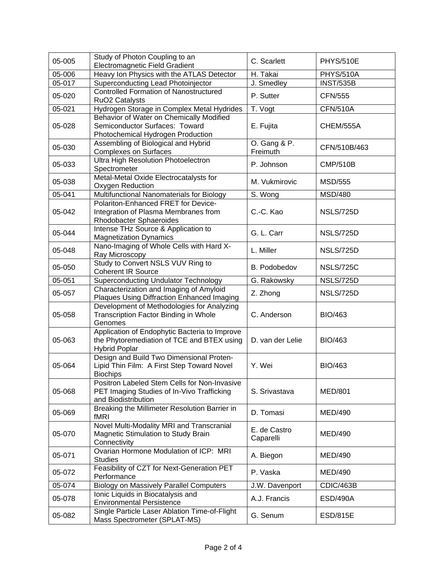| 05-005 | Study of Photon Coupling to an<br><b>Electromagnetic Field Gradient</b>                                             | C. Scarlett               | <b>PHYS/510E</b> |
|--------|---------------------------------------------------------------------------------------------------------------------|---------------------------|------------------|
| 05-006 | Heavy Ion Physics with the ATLAS Detector                                                                           | H. Takai                  | <b>PHYS/510A</b> |
| 05-017 | Superconducting Lead Photoinjector                                                                                  | J. Smedley                | <b>INST/535B</b> |
| 05-020 | <b>Controlled Formation of Nanostructured</b><br>RuO <sub>2</sub> Catalysts                                         | P. Sutter                 | <b>CFN/555</b>   |
| 05-021 | Hydrogen Storage in Complex Metal Hydrides                                                                          | T. Vogt                   | <b>CFN/510A</b>  |
| 05-028 | Behavior of Water on Chemically Modified<br>Semiconductor Surfaces: Toward<br>Photochemical Hydrogen Production     | E. Fujita                 | CHEM/555A        |
| 05-030 | Assembling of Biological and Hybrid<br><b>Complexes on Surfaces</b>                                                 | O. Gang & P.<br>Freimuth  | CFN/510B/463     |
| 05-033 | <b>Ultra High Resolution Photoelectron</b><br>Spectrometer                                                          | P. Johnson                | <b>CMP/510B</b>  |
| 05-038 | Metal-Metal Oxide Electrocatalysts for<br>Oxygen Reduction                                                          | M. Vukmirovic             | <b>MSD/555</b>   |
| 05-041 | Multifunctional Nanomaterials for Biology                                                                           | S. Wong                   | <b>MSD/480</b>   |
| 05-042 | Polariton-Enhanced FRET for Device-<br>Integration of Plasma Membranes from<br><b>Rhodobacter Sphaeroides</b>       | C.-C. Kao                 | NSLS/725D        |
| 05-044 | Intense THz Source & Application to<br><b>Magnetization Dynamics</b>                                                | G. L. Carr                | <b>NSLS/725D</b> |
| 05-048 | Nano-Imaging of Whole Cells with Hard X-<br>Ray Microscopy                                                          | L. Miller                 | <b>NSLS/725D</b> |
| 05-050 | Study to Convert NSLS VUV Ring to<br><b>Coherent IR Source</b>                                                      | B. Podobedov              | <b>NSLS/725C</b> |
| 05-051 | <b>Superconducting Undulator Technology</b>                                                                         | G. Rakowsky               | <b>NSLS/725D</b> |
| 05-057 | Characterization and Imaging of Amyloid<br>Plaques Using Diffraction Enhanced Imaging                               | Z. Zhong                  | NSLS/725D        |
| 05-058 | Development of Methodologies for Analyzing<br>Transcription Factor Binding in Whole<br>Genomes                      | C. Anderson               | <b>BIO/463</b>   |
| 05-063 | Application of Endophytic Bacteria to Improve<br>the Phytoremediation of TCE and BTEX using<br><b>Hybrid Poplar</b> | D. van der Lelie          | <b>BIO/463</b>   |
| 05-064 | Design and Build Two Dimensional Proten-<br>Lipid Thin Film: A First Step Toward Novel<br><b>Biochips</b>           | Y. Wei                    | <b>BIO/463</b>   |
| 05-068 | Positron Labeled Stem Cells for Non-Invasive<br>PET Imaging Studies of In-Vivo Trafficking<br>and Biodistribution   | S. Srivastava             | <b>MED/801</b>   |
| 05-069 | Breaking the Millimeter Resolution Barrier in<br>fMRI                                                               | D. Tomasi                 | <b>MED/490</b>   |
| 05-070 | Novel Multi-Modality MRI and Transcranial<br>Magnetic Stimulation to Study Brain<br>Connectivity                    | E. de Castro<br>Caparelli | MED/490          |
| 05-071 | Ovarian Hormone Modulation of ICP: MRI<br><b>Studies</b>                                                            | A. Biegon                 | <b>MED/490</b>   |
| 05-072 | Feasibility of CZT for Next-Generation PET<br>Performance                                                           | P. Vaska                  | <b>MED/490</b>   |
| 05-074 | <b>Biology on Massively Parallel Computers</b>                                                                      | J.W. Davenport            | CDIC/463B        |
| 05-078 | Ionic Liquids in Biocatalysis and<br><b>Environmental Persistence</b>                                               | A.J. Francis              | <b>ESD/490A</b>  |
| 05-082 | Single Particle Laser Ablation Time-of-Flight<br>Mass Spectrometer (SPLAT-MS)                                       | G. Senum                  | <b>ESD/815E</b>  |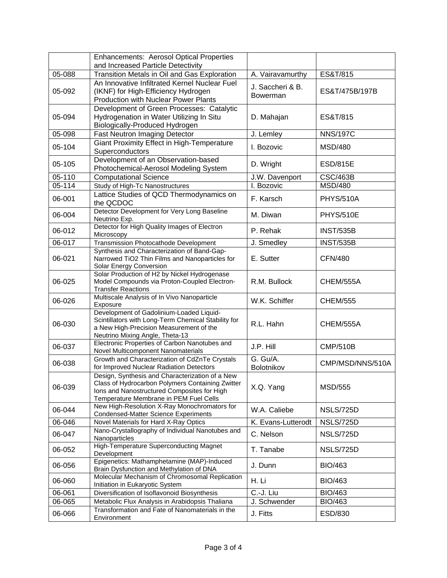|            | <b>Enhancements: Aerosol Optical Properties</b>                                                                                                                                              |                        |                  |
|------------|----------------------------------------------------------------------------------------------------------------------------------------------------------------------------------------------|------------------------|------------------|
|            | and Increased Particle Detectivity                                                                                                                                                           |                        |                  |
| 05-088     | Transition Metals in Oil and Gas Exploration                                                                                                                                                 | A. Vairavamurthy       | ES&T/815         |
| 05-092     | An Innovative Infiltrated Kernel Nuclear Fuel<br>(IKNF) for High-Efficiency Hydrogen                                                                                                         | J. Saccheri & B.       | ES&T/475B/197B   |
|            | Production with Nuclear Power Plants                                                                                                                                                         | <b>Bowerman</b>        |                  |
|            | Development of Green Processes: Catalytic                                                                                                                                                    |                        |                  |
| 05-094     | Hydrogenation in Water Utilizing In Situ<br>Biologically-Produced Hydrogen                                                                                                                   | D. Mahajan             | ES&T/815         |
| 05-098     | <b>Fast Neutron Imaging Detector</b>                                                                                                                                                         | J. Lemley              | <b>NNS/197C</b>  |
| 05-104     | Giant Proximity Effect in High-Temperature<br>Superconductors                                                                                                                                | I. Bozovic             | <b>MSD/480</b>   |
| 05-105     | Development of an Observation-based<br>Photochemical-Aerosol Modeling System                                                                                                                 | D. Wright              | <b>ESD/815E</b>  |
| 05-110     | <b>Computational Science</b>                                                                                                                                                                 | J.W. Davenport         | <b>CSC/463B</b>  |
| $05 - 114$ | Study of High-Tc Nanostructures                                                                                                                                                              | I. Bozovic             | <b>MSD/480</b>   |
| 06-001     | Lattice Studies of QCD Thermodynamics on<br>the QCDOC                                                                                                                                        | F. Karsch              | <b>PHYS/510A</b> |
| 06-004     | Detector Development for Very Long Baseline<br>Neutrino Exp.                                                                                                                                 | M. Diwan               | <b>PHYS/510E</b> |
| 06-012     | Detector for High Quality Images of Electron<br>Microscopy                                                                                                                                   | P. Rehak               | <b>INST/535B</b> |
| 06-017     | Transmission Photocathode Development                                                                                                                                                        | J. Smedley             | <b>INST/535B</b> |
| 06-021     | Synthesis and Characterization of Band-Gap-<br>Narrowed TiO2 Thin Films and Nanoparticles for<br>Solar Energy Conversion                                                                     | E. Sutter              | <b>CFN/480</b>   |
| 06-025     | Solar Production of H2 by Nickel Hydrogenase<br>Model Compounds via Proton-Coupled Electron-<br><b>Transfer Reactions</b>                                                                    | R.M. Bullock           | CHEM/555A        |
| 06-026     | Multiscale Analysis of In Vivo Nanoparticle<br>Exposure                                                                                                                                      | W.K. Schiffer          | <b>CHEM/555</b>  |
| 06-030     | Development of Gadolinium-Loaded Liquid-<br>Scintillators with Long-Term Chemical Stability for<br>a New High-Precision Measurement of the<br>Neutrino Mixing Angle, Theta-13                | R.L. Hahn              | CHEM/555A        |
| 06-037     | Electronic Properties of Carbon Nanotubes and<br>Novel Multicomponent Nanomaterials                                                                                                          | J.P. Hill              | <b>CMP/510B</b>  |
| 06-038     | Growth and Characterization of CdZnTe Crystals<br>for Improved Nuclear Radiation Detectors                                                                                                   | G. Gu/A.<br>Bolotnikov | CMP/MSD/NNS/510A |
| 06-039     | Design, Synthesis and Characterization of a New<br>Class of Hydrocarbon Polymers Containing Zwitter<br>Ions and Nanostructured Composites for High<br>Temperature Membrane in PEM Fuel Cells | X.Q. Yang              | <b>MSD/555</b>   |
| 06-044     | New High-Resolution X-Ray Monochromators for<br><b>Condensed-Matter Science Experiments</b>                                                                                                  | W.A. Caliebe           | <b>NSLS/725D</b> |
| 06-046     | Novel Materials for Hard X-Ray Optics                                                                                                                                                        | K. Evans-Lutterodt     | <b>NSLS/725D</b> |
| 06-047     | Nano-Crystallography of Individual Nanotubes and<br>Nanoparticles                                                                                                                            | C. Nelson              | <b>NSLS/725D</b> |
| 06-052     | High-Temperature Superconducting Magnet<br>Development                                                                                                                                       | T. Tanabe              | NSLS/725D        |
| 06-056     | Epigenetics: Mathamphetamine (MAP)-Induced<br>Brain Dysfunction and Methylation of DNA                                                                                                       | J. Dunn                | <b>BIO/463</b>   |
| 06-060     | Molecular Mechanism of Chromosomal Replication<br>Initiation in Eukaryotic System                                                                                                            | H. Li                  | <b>BIO/463</b>   |
| 06-061     | Diversification of Isoflavonoid Biosynthesis                                                                                                                                                 | C.-J. Liu              | <b>BIO/463</b>   |
| 06-065     | Metabolic Flux Analysis in Arabidopsis Thaliana                                                                                                                                              | J. Schwender           | <b>BIO/463</b>   |
| 06-066     | Transformation and Fate of Nanomaterials in the<br>Environment                                                                                                                               | J. Fitts               | ESD/830          |